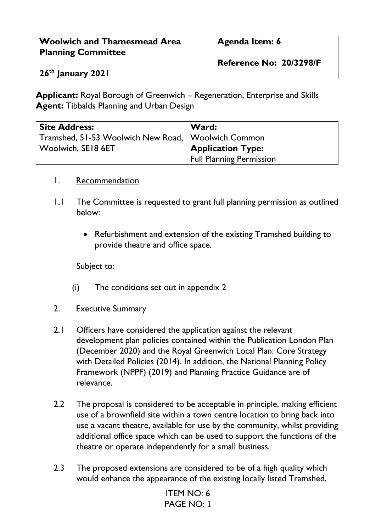| <b>Woolwich and Thamesmead Area</b> | <b>Agenda Item: 6</b>   |
|-------------------------------------|-------------------------|
| <b>Planning Committee</b>           |                         |
|                                     | Reference No: 20/3298/F |
| 26 <sup>th</sup> January 2021       |                         |

**Applicant:** Royal Borough of Greenwich – Regeneration, Enterprise and Skills **Agent:** Tibbalds Planning and Urban Design

| <b>Site Address:</b>                                 | Ward:                           |
|------------------------------------------------------|---------------------------------|
| Tramshed, 51-53 Woolwich New Road,   Woolwich Common |                                 |
| $\mid$ Woolwich, SE18 6ET $\mid$                     | <b>Application Type:</b>        |
|                                                      | <b>Full Planning Permission</b> |

#### 1. Recommendation

- 1.1 The Committee is requested to grant full planning permission as outlined below:
	- Refurbishment and extension of the existing Tramshed building to provide theatre and office space.

Subject to:

- (i) The conditions set out in appendix 2
- 2. Executive Summary
- 2.1 Officers have considered the application against the relevant development plan policies contained within the Publication London Plan (December 2020) and the Royal Greenwich Local Plan: Core Strategy with Detailed Policies (2014). In addition, the National Planning Policy Framework (NPPF) (2019) and Planning Practice Guidance are of relevance.
- 2.2 The proposal is considered to be acceptable in principle, making efficient use of a brownfield site within a town centre location to bring back into use a vacant theatre, available for use by the community, whilst providing additional office space which can be used to support the functions of the theatre or operate independently for a small business.
- 2.3 The proposed extensions are considered to be of a high quality which would enhance the appearance of the existing locally listed Tramshed,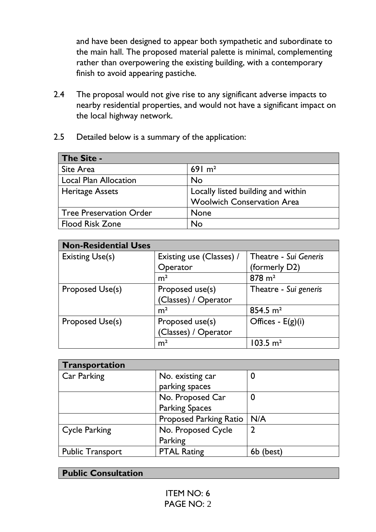and have been designed to appear both sympathetic and subordinate to the main hall. The proposed material palette is minimal, complementing rather than overpowering the existing building, with a contemporary finish to avoid appearing pastiche.

- 2.4 The proposal would not give rise to any significant adverse impacts to nearby residential properties, and would not have a significant impact on the local highway network.
- 2.5 Detailed below is a summary of the application:

| The Site -                     |                                    |
|--------------------------------|------------------------------------|
| Site Area                      | 69 $1 \text{ m}^2$                 |
| <b>Local Plan Allocation</b>   | <b>No</b>                          |
| <b>Heritage Assets</b>         | Locally listed building and within |
|                                | <b>Woolwich Conservation Area</b>  |
| <b>Tree Preservation Order</b> | <b>None</b>                        |
| <b>Flood Risk Zone</b>         | No                                 |

| <b>Non-Residential Uses</b> |                          |                         |
|-----------------------------|--------------------------|-------------------------|
| <b>Existing Use(s)</b>      | Existing use (Classes) / | Theatre - Sui Generis   |
|                             | Operator                 | (formerly D2)           |
|                             | m <sup>2</sup>           | $878 \text{ m}^2$       |
| Proposed Use(s)             | Proposed use(s)          | Theatre - Sui generis   |
|                             | (Classes) / Operator     |                         |
|                             | m <sup>2</sup>           | $854.5 \text{ m}^2$     |
| Proposed Use(s)             | Proposed use(s)          | Offices - $E(g)(i)$     |
|                             | (Classes) / Operator     |                         |
|                             | m <sup>2</sup>           | $103.5 \; \mathrm{m}^2$ |

| Transportation          |                               |        |
|-------------------------|-------------------------------|--------|
| Car Parking             | No. existing car              |        |
|                         | parking spaces                |        |
|                         | No. Proposed Car              | 0      |
|                         | <b>Parking Spaces</b>         |        |
|                         | <b>Proposed Parking Ratio</b> | N/A    |
| <b>Cycle Parking</b>    | No. Proposed Cycle            | 7      |
|                         | Parking                       |        |
| <b>Public Transport</b> | <b>PTAL Rating</b>            | (best) |

| <b>Public Consultation</b> |
|----------------------------|
|                            |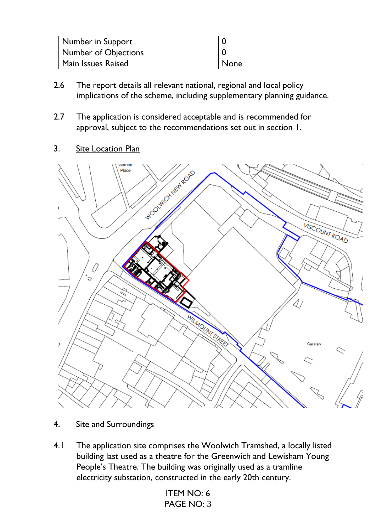| <b>Number in Support</b> |      |
|--------------------------|------|
| Number of Objections     |      |
| Main Issues Raised       | None |

- 2.6 The report details all relevant national, regional and local policy implications of the scheme, including supplementary planning guidance.
- 2.7 The application is considered acceptable and is recommended for approval, subject to the recommendations set out in section 1.
- 3. Site Location Plan



- 4. Site and Surroundings
- 4.1 The application site comprises the Woolwich Tramshed, a locally listed building last used as a theatre for the Greenwich and Lewisham Young People's Theatre. The building was originally used as a tramline electricity substation, constructed in the early 20th century.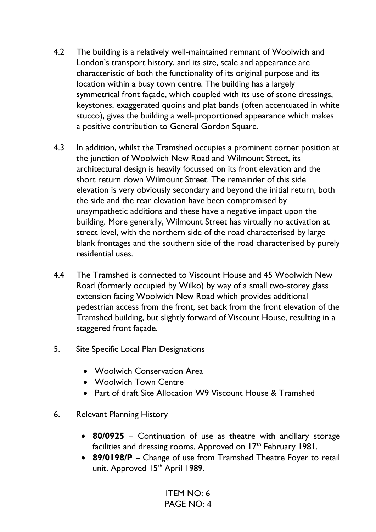- 4.2 The building is a relatively well-maintained remnant of Woolwich and London's transport history, and its size, scale and appearance are characteristic of both the functionality of its original purpose and its location within a busy town centre. The building has a largely symmetrical front façade, which coupled with its use of stone dressings, keystones, exaggerated quoins and plat bands (often accentuated in white stucco), gives the building a well-proportioned appearance which makes a positive contribution to General Gordon Square.
- 4.3 In addition, whilst the Tramshed occupies a prominent corner position at the junction of Woolwich New Road and Wilmount Street, its architectural design is heavily focussed on its front elevation and the short return down Wilmount Street. The remainder of this side elevation is very obviously secondary and beyond the initial return, both the side and the rear elevation have been compromised by unsympathetic additions and these have a negative impact upon the building. More generally, Wilmount Street has virtually no activation at street level, with the northern side of the road characterised by large blank frontages and the southern side of the road characterised by purely residential uses.
- 4.4 The Tramshed is connected to Viscount House and 45 Woolwich New Road (formerly occupied by Wilko) by way of a small two-storey glass extension facing Woolwich New Road which provides additional pedestrian access from the front, set back from the front elevation of the Tramshed building, but slightly forward of Viscount House, resulting in a staggered front façade.
- 5. Site Specific Local Plan Designations
	- Woolwich Conservation Area
	- Woolwich Town Centre
	- Part of draft Site Allocation W9 Viscount House & Tramshed
- 6. Relevant Planning History
	- **80/0925** Continuation of use as theatre with ancillary storage facilities and dressing rooms. Approved on  $17<sup>th</sup>$  February 1981.
	- **89/0198/P** Change of use from Tramshed Theatre Foyer to retail unit. Approved 15<sup>th</sup> April 1989.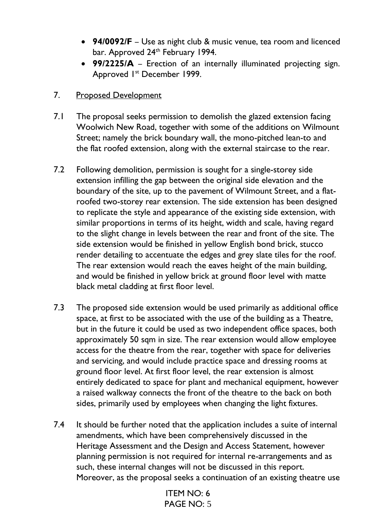- **94/0092/F** Use as night club & music venue, tea room and licenced bar. Approved 24<sup>th</sup> February 1994.
- **99/2225/A** Erection of an internally illuminated projecting sign. Approved 1st December 1999.
- 7. Proposed Development
- 7.1 The proposal seeks permission to demolish the glazed extension facing Woolwich New Road, together with some of the additions on Wilmount Street; namely the brick boundary wall, the mono-pitched lean-to and the flat roofed extension, along with the external staircase to the rear.
- 7.2 Following demolition, permission is sought for a single-storey side extension infilling the gap between the original side elevation and the boundary of the site, up to the pavement of Wilmount Street, and a flatroofed two-storey rear extension. The side extension has been designed to replicate the style and appearance of the existing side extension, with similar proportions in terms of its height, width and scale, having regard to the slight change in levels between the rear and front of the site. The side extension would be finished in yellow English bond brick, stucco render detailing to accentuate the edges and grey slate tiles for the roof. The rear extension would reach the eaves height of the main building, and would be finished in yellow brick at ground floor level with matte black metal cladding at first floor level.
- 7.3 The proposed side extension would be used primarily as additional office space, at first to be associated with the use of the building as a Theatre, but in the future it could be used as two independent office spaces, both approximately 50 sqm in size. The rear extension would allow employee access for the theatre from the rear, together with space for deliveries and servicing, and would include practice space and dressing rooms at ground floor level. At first floor level, the rear extension is almost entirely dedicated to space for plant and mechanical equipment, however a raised walkway connects the front of the theatre to the back on both sides, primarily used by employees when changing the light fixtures.
- 7.4 It should be further noted that the application includes a suite of internal amendments, which have been comprehensively discussed in the Heritage Assessment and the Design and Access Statement, however planning permission is not required for internal re-arrangements and as such, these internal changes will not be discussed in this report. Moreover, as the proposal seeks a continuation of an existing theatre use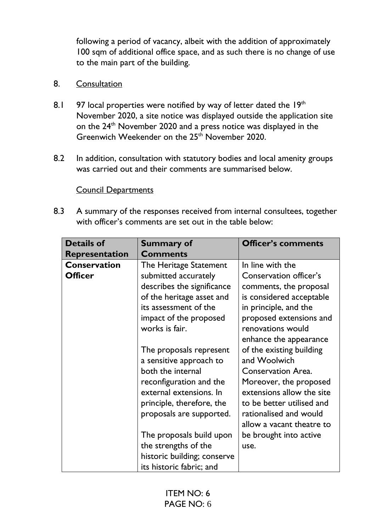following a period of vacancy, albeit with the addition of approximately 100 sqm of additional office space, and as such there is no change of use to the main part of the building.

### 8. Consultation

- 8.1 97 local properties were notified by way of letter dated the 19th November 2020, a site notice was displayed outside the application site on the 24<sup>th</sup> November 2020 and a press notice was displayed in the Greenwich Weekender on the 25<sup>th</sup> November 2020.
- 8.2 In addition, consultation with statutory bodies and local amenity groups was carried out and their comments are summarised below.

#### Council Departments

8.3 A summary of the responses received from internal consultees, together with officer's comments are set out in the table below:

| <b>Details of</b>     | <b>Summary of</b>           | <b>Officer's comments</b> |
|-----------------------|-----------------------------|---------------------------|
| <b>Representation</b> | <b>Comments</b>             |                           |
| <b>Conservation</b>   | The Heritage Statement      | In line with the          |
| <b>Officer</b>        | submitted accurately        | Conservation officer's    |
|                       | describes the significance  | comments, the proposal    |
|                       | of the heritage asset and   | is considered acceptable  |
|                       | its assessment of the       | in principle, and the     |
|                       | impact of the proposed      | proposed extensions and   |
|                       | works is fair.              | renovations would         |
|                       |                             | enhance the appearance    |
|                       | The proposals represent     | of the existing building  |
|                       | a sensitive approach to     | and Woolwich              |
|                       | both the internal           | <b>Conservation Area.</b> |
|                       | reconfiguration and the     | Moreover, the proposed    |
|                       | external extensions. In     | extensions allow the site |
|                       | principle, therefore, the   | to be better utilised and |
|                       | proposals are supported.    | rationalised and would    |
|                       |                             | allow a vacant theatre to |
|                       | The proposals build upon    | be brought into active    |
|                       | the strengths of the        | use.                      |
|                       | historic building; conserve |                           |
|                       | its historic fabric; and    |                           |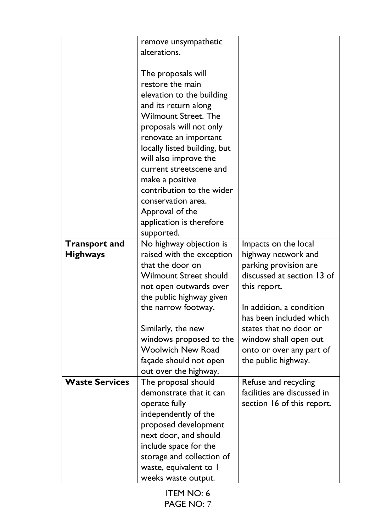|                       | remove unsympathetic                                |                                                     |
|-----------------------|-----------------------------------------------------|-----------------------------------------------------|
|                       | alterations.                                        |                                                     |
|                       |                                                     |                                                     |
|                       | The proposals will                                  |                                                     |
|                       | restore the main                                    |                                                     |
|                       |                                                     |                                                     |
|                       | elevation to the building                           |                                                     |
|                       | and its return along                                |                                                     |
|                       | <b>Wilmount Street. The</b>                         |                                                     |
|                       | proposals will not only                             |                                                     |
|                       | renovate an important                               |                                                     |
|                       | locally listed building, but                        |                                                     |
|                       | will also improve the                               |                                                     |
|                       | current streetscene and                             |                                                     |
|                       | make a positive                                     |                                                     |
|                       | contribution to the wider                           |                                                     |
|                       | conservation area.                                  |                                                     |
|                       | Approval of the                                     |                                                     |
|                       | application is therefore                            |                                                     |
|                       | supported.                                          |                                                     |
| <b>Transport and</b>  | No highway objection is                             | Impacts on the local                                |
| <b>Highways</b>       | raised with the exception                           | highway network and                                 |
|                       | that the door on                                    | parking provision are                               |
|                       | <b>Wilmount Street should</b>                       | discussed at section 13 of                          |
|                       | not open outwards over                              | this report.                                        |
|                       | the public highway given                            |                                                     |
|                       | the narrow footway.                                 | In addition, a condition                            |
|                       |                                                     | has been included which                             |
|                       | Similarly, the new                                  | states that no door or                              |
|                       |                                                     |                                                     |
|                       | windows proposed to the<br><b>Woolwich New Road</b> | window shall open out                               |
|                       |                                                     | onto or over any part of                            |
|                       | façade should not open                              | the public highway.                                 |
|                       | out over the highway.                               |                                                     |
| <b>Waste Services</b> | The proposal should                                 | Refuse and recycling<br>facilities are discussed in |
|                       | demonstrate that it can                             |                                                     |
|                       | operate fully                                       | section 16 of this report.                          |
|                       | independently of the                                |                                                     |
|                       | proposed development                                |                                                     |
|                       | next door, and should                               |                                                     |
|                       | include space for the                               |                                                     |
|                       | storage and collection of                           |                                                     |
|                       | waste, equivalent to I                              |                                                     |
|                       | weeks waste output.                                 |                                                     |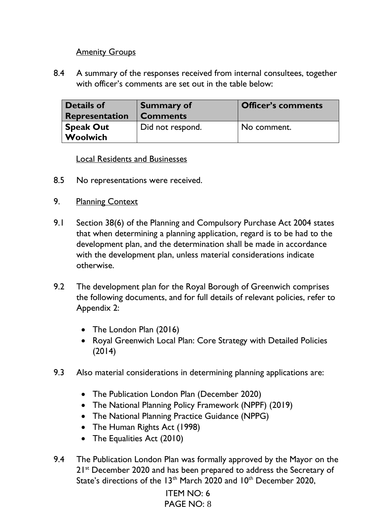#### **Amenity Groups**

8.4 A summary of the responses received from internal consultees, together with officer's comments are set out in the table below:

| <b>Details of</b>     | <b>Summary of</b> | <b>Officer's comments</b> |
|-----------------------|-------------------|---------------------------|
| <b>Representation</b> | <b>Comments</b>   |                           |
| <b>Speak Out</b>      | Did not respond.  | No comment.               |
| Woolwich              |                   |                           |

Local Residents and Businesses

- 8.5 No representations were received.
- 9. Planning Context
- 9.1 Section 38(6) of the Planning and Compulsory Purchase Act 2004 states that when determining a planning application, regard is to be had to the development plan, and the determination shall be made in accordance with the development plan, unless material considerations indicate otherwise.
- 9.2 The development plan for the Royal Borough of Greenwich comprises the following documents, and for full details of relevant policies, refer to Appendix 2:
	- The London Plan (2016)
	- Royal Greenwich Local Plan: Core Strategy with Detailed Policies (2014)
- 9.3 Also material considerations in determining planning applications are:
	- The Publication London Plan (December 2020)
	- The National Planning Policy Framework (NPPF) (2019)
	- The National Planning Practice Guidance (NPPG)
	- The Human Rights Act (1998)
	- The Equalities Act (2010)
- 9.4 The Publication London Plan was formally approved by the Mayor on the 21<sup>st</sup> December 2020 and has been prepared to address the Secretary of State's directions of the 13<sup>th</sup> March 2020 and 10<sup>th</sup> December 2020.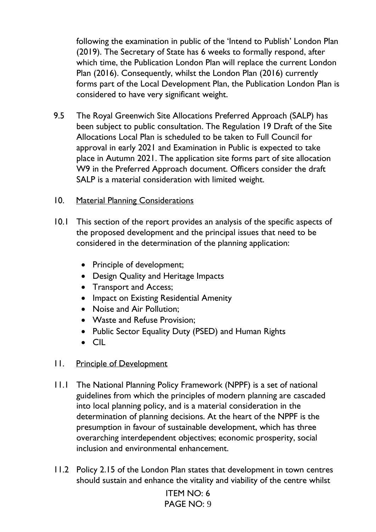following the examination in public of the 'Intend to Publish' London Plan (2019). The Secretary of State has 6 weeks to formally respond, after which time, the Publication London Plan will replace the current London Plan (2016). Consequently, whilst the London Plan (2016) currently forms part of the Local Development Plan, the Publication London Plan is considered to have very significant weight.

9.5 The Royal Greenwich Site Allocations Preferred Approach (SALP) has been subject to public consultation. The Regulation 19 Draft of the Site Allocations Local Plan is scheduled to be taken to Full Council for approval in early 2021 and Examination in Public is expected to take place in Autumn 2021. The application site forms part of site allocation W9 in the Preferred Approach document. Officers consider the draft SALP is a material consideration with limited weight.

#### 10. Material Planning Considerations

- 10.1 This section of the report provides an analysis of the specific aspects of the proposed development and the principal issues that need to be considered in the determination of the planning application:
	- Principle of development;
	- Design Quality and Heritage Impacts
	- Transport and Access;
	- Impact on Existing Residential Amenity
	- Noise and Air Pollution:
	- Waste and Refuse Provision;
	- Public Sector Equality Duty (PSED) and Human Rights
	- CIL

### 11. Principle of Development

- 11.1 The National Planning Policy Framework (NPPF) is a set of national guidelines from which the principles of modern planning are cascaded into local planning policy, and is a material consideration in the determination of planning decisions. At the heart of the NPPF is the presumption in favour of sustainable development, which has three overarching interdependent objectives; economic prosperity, social inclusion and environmental enhancement.
- 11.2 Policy 2.15 of the London Plan states that development in town centres should sustain and enhance the vitality and viability of the centre whilst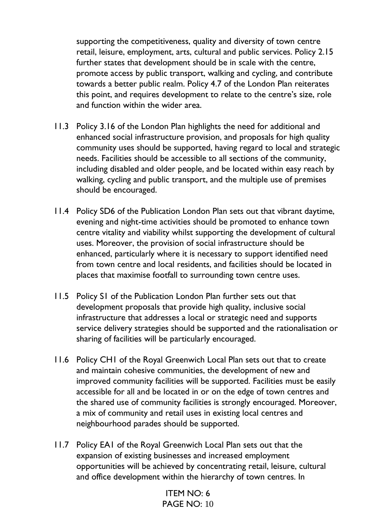supporting the competitiveness, quality and diversity of town centre retail, leisure, employment, arts, cultural and public services. Policy 2.15 further states that development should be in scale with the centre, promote access by public transport, walking and cycling, and contribute towards a better public realm. Policy 4.7 of the London Plan reiterates this point, and requires development to relate to the centre's size, role and function within the wider area.

- 11.3 Policy 3.16 of the London Plan highlights the need for additional and enhanced social infrastructure provision, and proposals for high quality community uses should be supported, having regard to local and strategic needs. Facilities should be accessible to all sections of the community, including disabled and older people, and be located within easy reach by walking, cycling and public transport, and the multiple use of premises should be encouraged.
- 11.4 Policy SD6 of the Publication London Plan sets out that vibrant daytime, evening and night-time activities should be promoted to enhance town centre vitality and viability whilst supporting the development of cultural uses. Moreover, the provision of social infrastructure should be enhanced, particularly where it is necessary to support identified need from town centre and local residents, and facilities should be located in places that maximise footfall to surrounding town centre uses.
- 11.5 Policy S1 of the Publication London Plan further sets out that development proposals that provide high quality, inclusive social infrastructure that addresses a local or strategic need and supports service delivery strategies should be supported and the rationalisation or sharing of facilities will be particularly encouraged.
- 11.6 Policy CH1 of the Royal Greenwich Local Plan sets out that to create and maintain cohesive communities, the development of new and improved community facilities will be supported. Facilities must be easily accessible for all and be located in or on the edge of town centres and the shared use of community facilities is strongly encouraged. Moreover, a mix of community and retail uses in existing local centres and neighbourhood parades should be supported.
- 11.7 Policy EA1 of the Royal Greenwich Local Plan sets out that the expansion of existing businesses and increased employment opportunities will be achieved by concentrating retail, leisure, cultural and office development within the hierarchy of town centres. In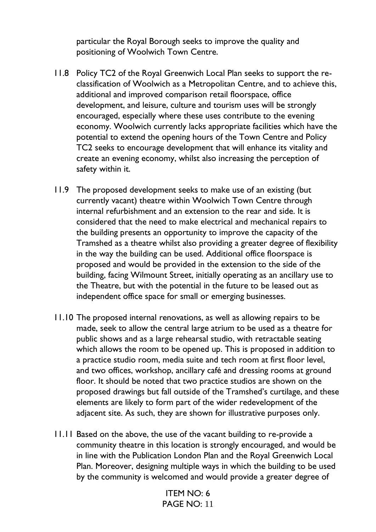particular the Royal Borough seeks to improve the quality and positioning of Woolwich Town Centre.

- 11.8 Policy TC2 of the Royal Greenwich Local Plan seeks to support the reclassification of Woolwich as a Metropolitan Centre, and to achieve this, additional and improved comparison retail floorspace, office development, and leisure, culture and tourism uses will be strongly encouraged, especially where these uses contribute to the evening economy. Woolwich currently lacks appropriate facilities which have the potential to extend the opening hours of the Town Centre and Policy TC2 seeks to encourage development that will enhance its vitality and create an evening economy, whilst also increasing the perception of safety within it.
- 11.9 The proposed development seeks to make use of an existing (but currently vacant) theatre within Woolwich Town Centre through internal refurbishment and an extension to the rear and side. It is considered that the need to make electrical and mechanical repairs to the building presents an opportunity to improve the capacity of the Tramshed as a theatre whilst also providing a greater degree of flexibility in the way the building can be used. Additional office floorspace is proposed and would be provided in the extension to the side of the building, facing Wilmount Street, initially operating as an ancillary use to the Theatre, but with the potential in the future to be leased out as independent office space for small or emerging businesses.
- 11.10 The proposed internal renovations, as well as allowing repairs to be made, seek to allow the central large atrium to be used as a theatre for public shows and as a large rehearsal studio, with retractable seating which allows the room to be opened up. This is proposed in addition to a practice studio room, media suite and tech room at first floor level, and two offices, workshop, ancillary café and dressing rooms at ground floor. It should be noted that two practice studios are shown on the proposed drawings but fall outside of the Tramshed's curtilage, and these elements are likely to form part of the wider redevelopment of the adjacent site. As such, they are shown for illustrative purposes only.
- 11.11 Based on the above, the use of the vacant building to re-provide a community theatre in this location is strongly encouraged, and would be in line with the Publication London Plan and the Royal Greenwich Local Plan. Moreover, designing multiple ways in which the building to be used by the community is welcomed and would provide a greater degree of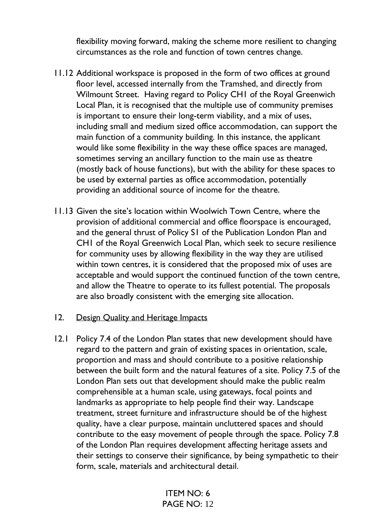flexibility moving forward, making the scheme more resilient to changing circumstances as the role and function of town centres change.

- 11.12 Additional workspace is proposed in the form of two offices at ground floor level, accessed internally from the Tramshed, and directly from Wilmount Street. Having regard to Policy CH1 of the Royal Greenwich Local Plan, it is recognised that the multiple use of community premises is important to ensure their long-term viability, and a mix of uses, including small and medium sized office accommodation, can support the main function of a community building. In this instance, the applicant would like some flexibility in the way these office spaces are managed, sometimes serving an ancillary function to the main use as theatre (mostly back of house functions), but with the ability for these spaces to be used by external parties as office accommodation, potentially providing an additional source of income for the theatre.
- 11.13 Given the site's location within Woolwich Town Centre, where the provision of additional commercial and office floorspace is encouraged, and the general thrust of Policy S1 of the Publication London Plan and CH1 of the Royal Greenwich Local Plan, which seek to secure resilience for community uses by allowing flexibility in the way they are utilised within town centres, it is considered that the proposed mix of uses are acceptable and would support the continued function of the town centre, and allow the Theatre to operate to its fullest potential. The proposals are also broadly consistent with the emerging site allocation.
- 12. Design Quality and Heritage Impacts
- 12.1 Policy 7.4 of the London Plan states that new development should have regard to the pattern and grain of existing spaces in orientation, scale, proportion and mass and should contribute to a positive relationship between the built form and the natural features of a site. Policy 7.5 of the London Plan sets out that development should make the public realm comprehensible at a human scale, using gateways, focal points and landmarks as appropriate to help people find their way. Landscape treatment, street furniture and infrastructure should be of the highest quality, have a clear purpose, maintain uncluttered spaces and should contribute to the easy movement of people through the space. Policy 7.8 of the London Plan requires development affecting heritage assets and their settings to conserve their significance, by being sympathetic to their form, scale, materials and architectural detail.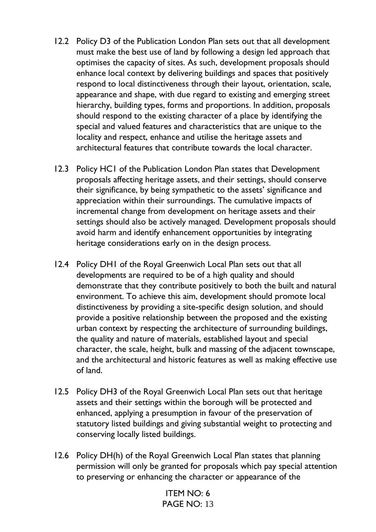- 12.2 Policy D3 of the Publication London Plan sets out that all development must make the best use of land by following a design led approach that optimises the capacity of sites. As such, development proposals should enhance local context by delivering buildings and spaces that positively respond to local distinctiveness through their layout, orientation, scale, appearance and shape, with due regard to existing and emerging street hierarchy, building types, forms and proportions. In addition, proposals should respond to the existing character of a place by identifying the special and valued features and characteristics that are unique to the locality and respect, enhance and utilise the heritage assets and architectural features that contribute towards the local character.
- 12.3 Policy HC1 of the Publication London Plan states that Development proposals affecting heritage assets, and their settings, should conserve their significance, by being sympathetic to the assets' significance and appreciation within their surroundings. The cumulative impacts of incremental change from development on heritage assets and their settings should also be actively managed. Development proposals should avoid harm and identify enhancement opportunities by integrating heritage considerations early on in the design process.
- 12.4 Policy DH1 of the Royal Greenwich Local Plan sets out that all developments are required to be of a high quality and should demonstrate that they contribute positively to both the built and natural environment. To achieve this aim, development should promote local distinctiveness by providing a site-specific design solution, and should provide a positive relationship between the proposed and the existing urban context by respecting the architecture of surrounding buildings, the quality and nature of materials, established layout and special character, the scale, height, bulk and massing of the adjacent townscape, and the architectural and historic features as well as making effective use of land.
- 12.5 Policy DH3 of the Royal Greenwich Local Plan sets out that heritage assets and their settings within the borough will be protected and enhanced, applying a presumption in favour of the preservation of statutory listed buildings and giving substantial weight to protecting and conserving locally listed buildings.
- 12.6 Policy DH(h) of the Royal Greenwich Local Plan states that planning permission will only be granted for proposals which pay special attention to preserving or enhancing the character or appearance of the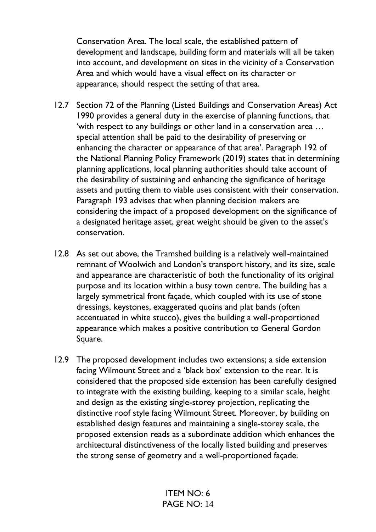Conservation Area. The local scale, the established pattern of development and landscape, building form and materials will all be taken into account, and development on sites in the vicinity of a Conservation Area and which would have a visual effect on its character or appearance, should respect the setting of that area.

- 12.7 Section 72 of the Planning (Listed Buildings and Conservation Areas) Act 1990 provides a general duty in the exercise of planning functions, that 'with respect to any buildings or other land in a conservation area … special attention shall be paid to the desirability of preserving or enhancing the character or appearance of that area'. Paragraph 192 of the National Planning Policy Framework (2019) states that in determining planning applications, local planning authorities should take account of the desirability of sustaining and enhancing the significance of heritage assets and putting them to viable uses consistent with their conservation. Paragraph 193 advises that when planning decision makers are considering the impact of a proposed development on the significance of a designated heritage asset, great weight should be given to the asset's conservation.
- 12.8 As set out above, the Tramshed building is a relatively well-maintained remnant of Woolwich and London's transport history, and its size, scale and appearance are characteristic of both the functionality of its original purpose and its location within a busy town centre. The building has a largely symmetrical front façade, which coupled with its use of stone dressings, keystones, exaggerated quoins and plat bands (often accentuated in white stucco), gives the building a well-proportioned appearance which makes a positive contribution to General Gordon Square.
- 12.9 The proposed development includes two extensions; a side extension facing Wilmount Street and a 'black box' extension to the rear. It is considered that the proposed side extension has been carefully designed to integrate with the existing building, keeping to a similar scale, height and design as the existing single-storey projection, replicating the distinctive roof style facing Wilmount Street. Moreover, by building on established design features and maintaining a single-storey scale, the proposed extension reads as a subordinate addition which enhances the architectural distinctiveness of the locally listed building and preserves the strong sense of geometry and a well-proportioned façade.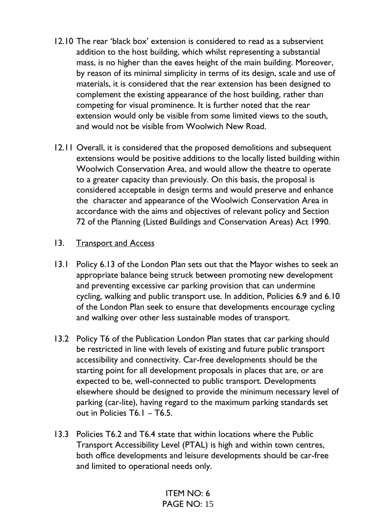- 12.10 The rear 'black box' extension is considered to read as a subservient addition to the host building, which whilst representing a substantial mass, is no higher than the eaves height of the main building. Moreover, by reason of its minimal simplicity in terms of its design, scale and use of materials, it is considered that the rear extension has been designed to complement the existing appearance of the host building, rather than competing for visual prominence. It is further noted that the rear extension would only be visible from some limited views to the south, and would not be visible from Woolwich New Road.
- 12.11 Overall, it is considered that the proposed demolitions and subsequent extensions would be positive additions to the locally listed building within Woolwich Conservation Area, and would allow the theatre to operate to a greater capacity than previously. On this basis, the proposal is considered acceptable in design terms and would preserve and enhance the character and appearance of the Woolwich Conservation Area in accordance with the aims and objectives of relevant policy and Section 72 of the Planning (Listed Buildings and Conservation Areas) Act 1990.

#### 13. Transport and Access

- 13.1 Policy 6.13 of the London Plan sets out that the Mayor wishes to seek an appropriate balance being struck between promoting new development and preventing excessive car parking provision that can undermine cycling, walking and public transport use. In addition, Policies 6.9 and 6.10 of the London Plan seek to ensure that developments encourage cycling and walking over other less sustainable modes of transport.
- 13.2 Policy T6 of the Publication London Plan states that car parking should be restricted in line with levels of existing and future public transport accessibility and connectivity. Car-free developments should be the starting point for all development proposals in places that are, or are expected to be, well-connected to public transport. Developments elsewhere should be designed to provide the minimum necessary level of parking (car-lite), having regard to the maximum parking standards set out in Policies T6.1 – T6.5.
- 13.3 Policies T6.2 and T6.4 state that within locations where the Public Transport Accessibility Level (PTAL) is high and within town centres, both office developments and leisure developments should be car-free and limited to operational needs only.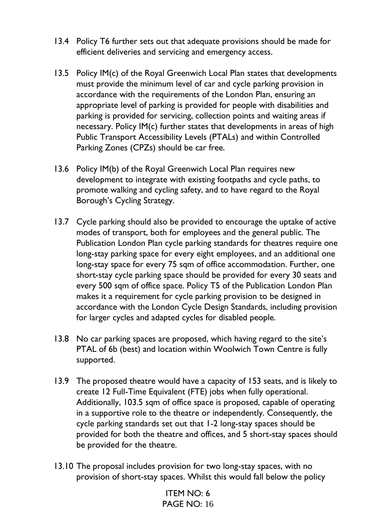- 13.4 Policy T6 further sets out that adequate provisions should be made for efficient deliveries and servicing and emergency access.
- 13.5 Policy IM(c) of the Royal Greenwich Local Plan states that developments must provide the minimum level of car and cycle parking provision in accordance with the requirements of the London Plan, ensuring an appropriate level of parking is provided for people with disabilities and parking is provided for servicing, collection points and waiting areas if necessary. Policy IM(c) further states that developments in areas of high Public Transport Accessibility Levels (PTALs) and within Controlled Parking Zones (CPZs) should be car free.
- 13.6 Policy IM(b) of the Royal Greenwich Local Plan requires new development to integrate with existing footpaths and cycle paths, to promote walking and cycling safety, and to have regard to the Royal Borough's Cycling Strategy.
- 13.7 Cycle parking should also be provided to encourage the uptake of active modes of transport, both for employees and the general public. The Publication London Plan cycle parking standards for theatres require one long-stay parking space for every eight employees, and an additional one long-stay space for every 75 sqm of office accommodation. Further, one short-stay cycle parking space should be provided for every 30 seats and every 500 sqm of office space. Policy T5 of the Publication London Plan makes it a requirement for cycle parking provision to be designed in accordance with the London Cycle Design Standards, including provision for larger cycles and adapted cycles for disabled people.
- 13.8 No car parking spaces are proposed, which having regard to the site's PTAL of 6b (best) and location within Woolwich Town Centre is fully supported.
- 13.9 The proposed theatre would have a capacity of 153 seats, and is likely to create 12 Full-Time Equivalent (FTE) jobs when fully operational. Additionally, 103.5 sqm of office space is proposed, capable of operating in a supportive role to the theatre or independently. Consequently, the cycle parking standards set out that 1-2 long-stay spaces should be provided for both the theatre and offices, and 5 short-stay spaces should be provided for the theatre.
- 13.10 The proposal includes provision for two long-stay spaces, with no provision of short-stay spaces. Whilst this would fall below the policy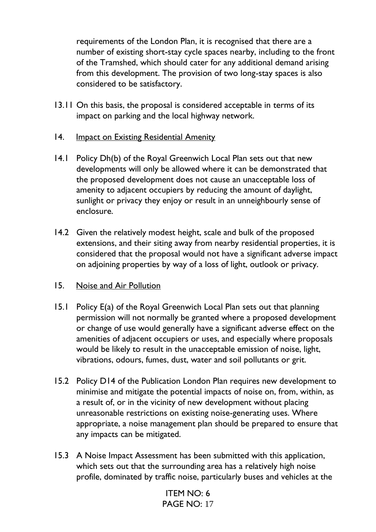requirements of the London Plan, it is recognised that there are a number of existing short-stay cycle spaces nearby, including to the front of the Tramshed, which should cater for any additional demand arising from this development. The provision of two long-stay spaces is also considered to be satisfactory.

- 13.11 On this basis, the proposal is considered acceptable in terms of its impact on parking and the local highway network.
- 14. Impact on Existing Residential Amenity
- 14.1 Policy Dh(b) of the Royal Greenwich Local Plan sets out that new developments will only be allowed where it can be demonstrated that the proposed development does not cause an unacceptable loss of amenity to adjacent occupiers by reducing the amount of daylight, sunlight or privacy they enjoy or result in an unneighbourly sense of enclosure.
- 14.2 Given the relatively modest height, scale and bulk of the proposed extensions, and their siting away from nearby residential properties, it is considered that the proposal would not have a significant adverse impact on adjoining properties by way of a loss of light, outlook or privacy.
- 15. Noise and Air Pollution
- 15.1 Policy E(a) of the Royal Greenwich Local Plan sets out that planning permission will not normally be granted where a proposed development or change of use would generally have a significant adverse effect on the amenities of adjacent occupiers or uses, and especially where proposals would be likely to result in the unacceptable emission of noise, light, vibrations, odours, fumes, dust, water and soil pollutants or grit.
- 15.2 Policy D14 of the Publication London Plan requires new development to minimise and mitigate the potential impacts of noise on, from, within, as a result of, or in the vicinity of new development without placing unreasonable restrictions on existing noise-generating uses. Where appropriate, a noise management plan should be prepared to ensure that any impacts can be mitigated.
- 15.3 A Noise Impact Assessment has been submitted with this application, which sets out that the surrounding area has a relatively high noise profile, dominated by traffic noise, particularly buses and vehicles at the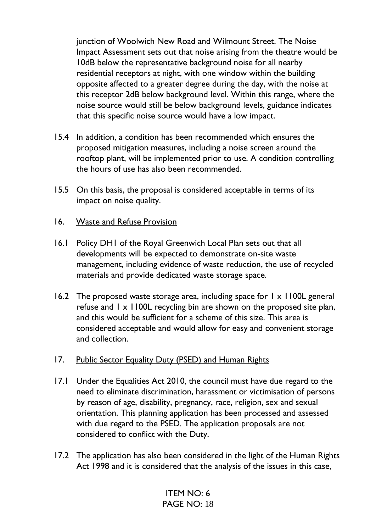junction of Woolwich New Road and Wilmount Street. The Noise Impact Assessment sets out that noise arising from the theatre would be 10dB below the representative background noise for all nearby residential receptors at night, with one window within the building opposite affected to a greater degree during the day, with the noise at this receptor 2dB below background level. Within this range, where the noise source would still be below background levels, guidance indicates that this specific noise source would have a low impact.

- 15.4 In addition, a condition has been recommended which ensures the proposed mitigation measures, including a noise screen around the rooftop plant, will be implemented prior to use. A condition controlling the hours of use has also been recommended.
- 15.5 On this basis, the proposal is considered acceptable in terms of its impact on noise quality.
- 16. Waste and Refuse Provision
- 16.1 Policy DH1 of the Royal Greenwich Local Plan sets out that all developments will be expected to demonstrate on-site waste management, including evidence of waste reduction, the use of recycled materials and provide dedicated waste storage space.
- 16.2 The proposed waste storage area, including space for  $1 \times 1100$ L general refuse and 1 x 1100L recycling bin are shown on the proposed site plan, and this would be sufficient for a scheme of this size. This area is considered acceptable and would allow for easy and convenient storage and collection.
- 17. Public Sector Equality Duty (PSED) and Human Rights
- 17.1 Under the Equalities Act 2010, the council must have due regard to the need to eliminate discrimination, harassment or victimisation of persons by reason of age, disability, pregnancy, race, religion, sex and sexual orientation. This planning application has been processed and assessed with due regard to the PSED. The application proposals are not considered to conflict with the Duty.
- 17.2 The application has also been considered in the light of the Human Rights Act 1998 and it is considered that the analysis of the issues in this case,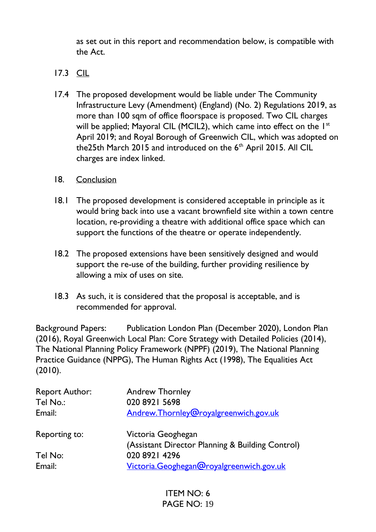as set out in this report and recommendation below, is compatible with the Act.

- 17.3 CIL
- 17.4 The proposed development would be liable under The Community Infrastructure Levy (Amendment) (England) (No. 2) Regulations 2019, as more than 100 sqm of office floorspace is proposed. Two CIL charges will be applied; Mayoral CIL (MCIL2), which came into effect on the 1<sup>st</sup> April 2019; and Royal Borough of Greenwich CIL, which was adopted on the25th March 2015 and introduced on the 6<sup>th</sup> April 2015. All CIL charges are index linked.
- 18. Conclusion
- 18.1 The proposed development is considered acceptable in principle as it would bring back into use a vacant brownfield site within a town centre location, re-providing a theatre with additional office space which can support the functions of the theatre or operate independently.
- 18.2 The proposed extensions have been sensitively designed and would support the re-use of the building, further providing resilience by allowing a mix of uses on site.
- 18.3 As such, it is considered that the proposal is acceptable, and is recommended for approval.

Background Papers: Publication London Plan (December 2020), London Plan (2016), Royal Greenwich Local Plan: Core Strategy with Detailed Policies (2014), The National Planning Policy Framework (NPPF) (2019), The National Planning Practice Guidance (NPPG), The Human Rights Act (1998), The Equalities Act (2010).

| <b>Report Author:</b> | <b>Andrew Thornley</b>                           |
|-----------------------|--------------------------------------------------|
| Tel No.:              | 020 8921 5698                                    |
| Email:                | Andrew.Thornley@royalgreenwich.gov.uk            |
| Reporting to:         | Victoria Geoghegan                               |
|                       | (Assistant Director Planning & Building Control) |
| Tel No:               | 020 8921 4296                                    |
| Email:                | Victoria.Geoghegan@royalgreenwich.gov.uk         |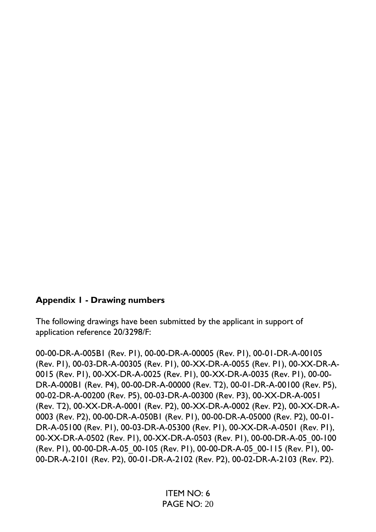### **Appendix 1 - Drawing numbers**

The following drawings have been submitted by the applicant in support of application reference 20/3298/F:

00-00-DR-A-005B1 (Rev. P1), 00-00-DR-A-00005 (Rev. P1), 00-01-DR-A-00105 (Rev. P1), 00-03-DR-A-00305 (Rev. P1), 00-XX-DR-A-0055 (Rev. P1), 00-XX-DR-A-0015 (Rev. P1), 00-XX-DR-A-0025 (Rev. P1), 00-XX-DR-A-0035 (Rev. P1), 00-00- DR-A-000B1 (Rev. P4), 00-00-DR-A-00000 (Rev. T2), 00-01-DR-A-00100 (Rev. P5), 00-02-DR-A-00200 (Rev. P5), 00-03-DR-A-00300 (Rev. P3), 00-XX-DR-A-0051 (Rev. T2), 00-XX-DR-A-0001 (Rev. P2), 00-XX-DR-A-0002 (Rev. P2), 00-XX-DR-A-0003 (Rev. P2), 00-00-DR-A-050B1 (Rev. P1), 00-00-DR-A-05000 (Rev. P2), 00-01- DR-A-05100 (Rev. P1), 00-03-DR-A-05300 (Rev. P1), 00-XX-DR-A-0501 (Rev. P1), 00-XX-DR-A-0502 (Rev. P1), 00-XX-DR-A-0503 (Rev. P1), 00-00-DR-A-05\_00-100 (Rev. P1), 00-00-DR-A-05\_00-105 (Rev. P1), 00-00-DR-A-05\_00-115 (Rev. P1), 00- 00-DR-A-2101 (Rev. P2), 00-01-DR-A-2102 (Rev. P2), 00-02-DR-A-2103 (Rev. P2).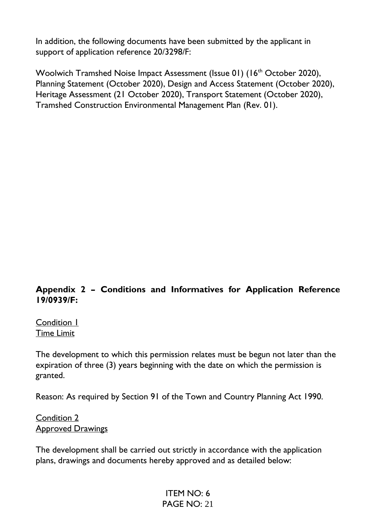In addition, the following documents have been submitted by the applicant in support of application reference 20/3298/F:

Woolwich Tramshed Noise Impact Assessment (Issue 01) (16<sup>th</sup> October 2020), Planning Statement (October 2020), Design and Access Statement (October 2020), Heritage Assessment (21 October 2020), Transport Statement (October 2020), Tramshed Construction Environmental Management Plan (Rev. 01).

### **Appendix 2 – Conditions and Informatives for Application Reference 19/0939/F:**

Condition 1 Time Limit

The development to which this permission relates must be begun not later than the expiration of three (3) years beginning with the date on which the permission is granted.

Reason: As required by Section 91 of the Town and Country Planning Act 1990.

Condition 2 Approved Drawings

The development shall be carried out strictly in accordance with the application plans, drawings and documents hereby approved and as detailed below: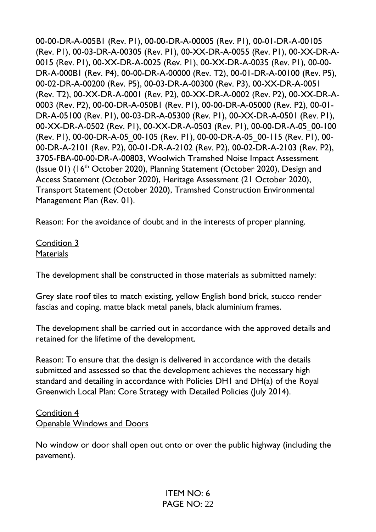00-00-DR-A-005B1 (Rev. P1), 00-00-DR-A-00005 (Rev. P1), 00-01-DR-A-00105 (Rev. P1), 00-03-DR-A-00305 (Rev. P1), 00-XX-DR-A-0055 (Rev. P1), 00-XX-DR-A-0015 (Rev. P1), 00-XX-DR-A-0025 (Rev. P1), 00-XX-DR-A-0035 (Rev. P1), 00-00- DR-A-000B1 (Rev. P4), 00-00-DR-A-00000 (Rev. T2), 00-01-DR-A-00100 (Rev. P5), 00-02-DR-A-00200 (Rev. P5), 00-03-DR-A-00300 (Rev. P3), 00-XX-DR-A-0051 (Rev. T2), 00-XX-DR-A-0001 (Rev. P2), 00-XX-DR-A-0002 (Rev. P2), 00-XX-DR-A-0003 (Rev. P2), 00-00-DR-A-050B1 (Rev. P1), 00-00-DR-A-05000 (Rev. P2), 00-01- DR-A-05100 (Rev. P1), 00-03-DR-A-05300 (Rev. P1), 00-XX-DR-A-0501 (Rev. P1), 00-XX-DR-A-0502 (Rev. P1), 00-XX-DR-A-0503 (Rev. P1), 00-00-DR-A-05\_00-100 (Rev. P1), 00-00-DR-A-05\_00-105 (Rev. P1), 00-00-DR-A-05\_00-115 (Rev. P1), 00- 00-DR-A-2101 (Rev. P2), 00-01-DR-A-2102 (Rev. P2), 00-02-DR-A-2103 (Rev. P2), 3705-FBA-00-00-DR-A-00803, Woolwich Tramshed Noise Impact Assessment (Issue 01) (16th October 2020), Planning Statement (October 2020), Design and Access Statement (October 2020), Heritage Assessment (21 October 2020), Transport Statement (October 2020), Tramshed Construction Environmental Management Plan (Rev. 01).

Reason: For the avoidance of doubt and in the interests of proper planning.

Condition 3 **Materials** 

The development shall be constructed in those materials as submitted namely:

Grey slate roof tiles to match existing, yellow English bond brick, stucco render fascias and coping, matte black metal panels, black aluminium frames.

The development shall be carried out in accordance with the approved details and retained for the lifetime of the development.

Reason: To ensure that the design is delivered in accordance with the details submitted and assessed so that the development achieves the necessary high standard and detailing in accordance with Policies DH1 and DH(a) of the Royal Greenwich Local Plan: Core Strategy with Detailed Policies (July 2014).

#### Condition 4 Openable Windows and Doors

No window or door shall open out onto or over the public highway (including the pavement).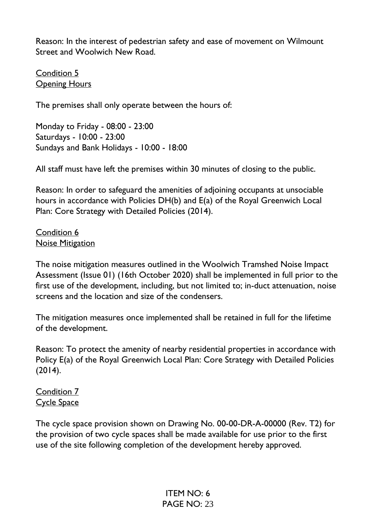Reason: In the interest of pedestrian safety and ease of movement on Wilmount Street and Woolwich New Road.

Condition 5 **Opening Hours** 

The premises shall only operate between the hours of:

Monday to Friday - 08:00 - 23:00 Saturdays - 10:00 - 23:00 Sundays and Bank Holidays - 10:00 - 18:00

All staff must have left the premises within 30 minutes of closing to the public.

Reason: In order to safeguard the amenities of adjoining occupants at unsociable hours in accordance with Policies DH(b) and E(a) of the Royal Greenwich Local Plan: Core Strategy with Detailed Policies (2014).

Condition 6 Noise Mitigation

The noise mitigation measures outlined in the Woolwich Tramshed Noise Impact Assessment (Issue 01) (16th October 2020) shall be implemented in full prior to the first use of the development, including, but not limited to; in-duct attenuation, noise screens and the location and size of the condensers.

The mitigation measures once implemented shall be retained in full for the lifetime of the development.

Reason: To protect the amenity of nearby residential properties in accordance with Policy E(a) of the Royal Greenwich Local Plan: Core Strategy with Detailed Policies (2014).

Condition 7 Cycle Space

The cycle space provision shown on Drawing No. 00-00-DR-A-00000 (Rev. T2) for the provision of two cycle spaces shall be made available for use prior to the first use of the site following completion of the development hereby approved.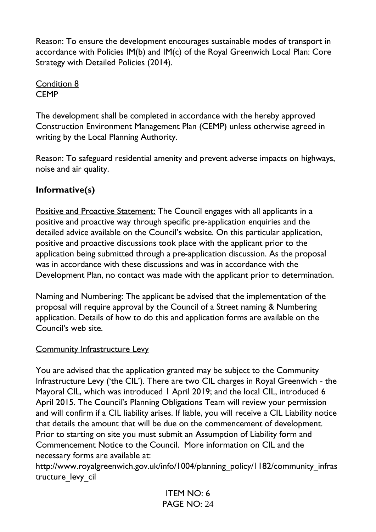Reason: To ensure the development encourages sustainable modes of transport in accordance with Policies IM(b) and IM(c) of the Royal Greenwich Local Plan: Core Strategy with Detailed Policies (2014).

Condition 8 **CEMP** 

The development shall be completed in accordance with the hereby approved Construction Environment Management Plan (CEMP) unless otherwise agreed in writing by the Local Planning Authority.

Reason: To safeguard residential amenity and prevent adverse impacts on highways, noise and air quality.

# **Informative(s)**

Positive and Proactive Statement: The Council engages with all applicants in a positive and proactive way through specific pre-application enquiries and the detailed advice available on the Council's website. On this particular application, positive and proactive discussions took place with the applicant prior to the application being submitted through a pre-application discussion. As the proposal was in accordance with these discussions and was in accordance with the Development Plan, no contact was made with the applicant prior to determination.

Naming and Numbering: The applicant be advised that the implementation of the proposal will require approval by the Council of a Street naming & Numbering application. Details of how to do this and application forms are available on the Council's web site.

### Community Infrastructure Levy

You are advised that the application granted may be subject to the Community Infrastructure Levy ('the CIL'). There are two CIL charges in Royal Greenwich - the Mayoral CIL, which was introduced 1 April 2019; and the local CIL, introduced 6 April 2015. The Council's Planning Obligations Team will review your permission and will confirm if a CIL liability arises. If liable, you will receive a CIL Liability notice that details the amount that will be due on the commencement of development. Prior to starting on site you must submit an Assumption of Liability form and Commencement Notice to the Council. More information on CIL and the necessary forms are available at:

http://www.royalgreenwich.gov.uk/info/1004/planning\_policy/1182/community\_infras tructure levy cil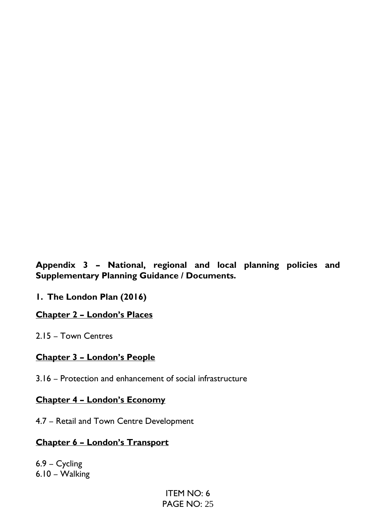**Appendix 3 – National, regional and local planning policies and Supplementary Planning Guidance / Documents.**

**1. The London Plan (2016)**

### **Chapter 2 – London's Places**

2.15 – Town Centres

### **Chapter 3 – London's People**

3.16 – Protection and enhancement of social infrastructure

#### **Chapter 4 – London's Economy**

4.7 – Retail and Town Centre Development

### **Chapter 6 – London's Transport**

6.9 – Cycling 6.10 – Walking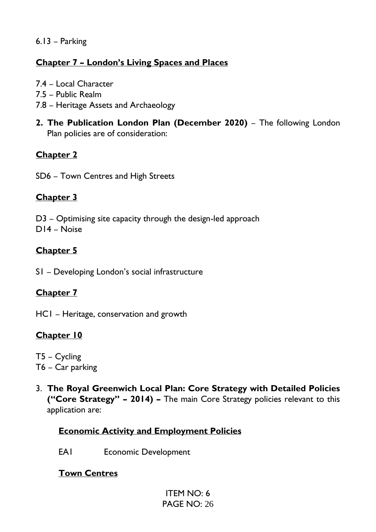### 6.13 – Parking

## **Chapter 7 – London's Living Spaces and Places**

- 7.4 Local Character
- 7.5 Public Realm
- 7.8 Heritage Assets and Archaeology
- **2. The Publication London Plan (December 2020)**  The following London Plan policies are of consideration:

# **Chapter 2**

SD6 – Town Centres and High Streets

## **Chapter 3**

D3 – Optimising site capacity through the design-led approach D14 – Noise

## **Chapter 5**

S1 – Developing London's social infrastructure

## **Chapter 7**

HC1 – Heritage, conservation and growth

## **Chapter 10**

T5 – Cycling T6 – Car parking

3. **The Royal Greenwich Local Plan: Core Strategy with Detailed Policies ("Core Strategy" – 2014) –** The main Core Strategy policies relevant to this application are:

## **Economic Activity and Employment Policies**

EA1 Economic Development

## **Town Centres**